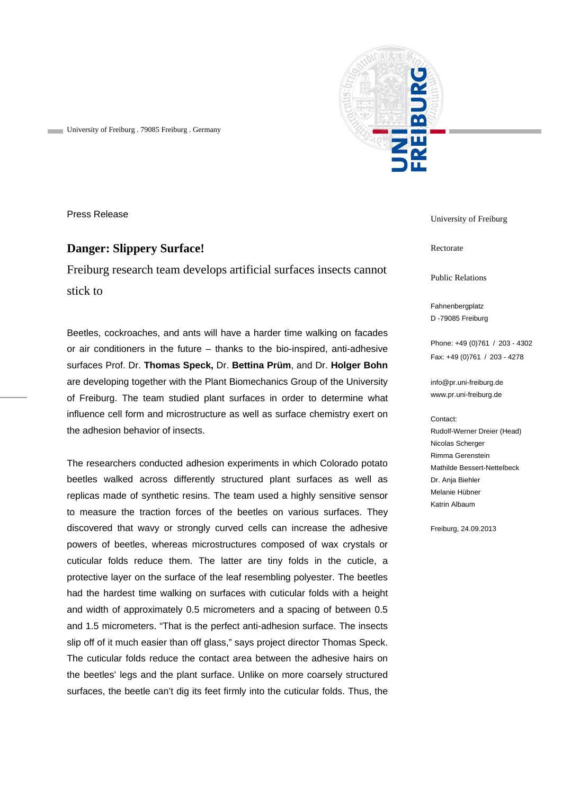

University of Freiburg . 79085 Freiburg . Germany

Press Release

## **Danger: Slippery Surface!**

Freiburg research team develops artificial surfaces insects cannot stick to

Beetles, cockroaches, and ants will have a harder time walking on facades or air conditioners in the future – thanks to the bio-inspired, anti-adhesive surfaces Prof. Dr. **Thomas Speck,** Dr. **Bettina Prüm**, and Dr. **Holger Bohn**  are developing together with the Plant Biomechanics Group of the University of Freiburg. The team studied plant surfaces in order to determine what influence cell form and microstructure as well as surface chemistry exert on the adhesion behavior of insects.

The researchers conducted adhesion experiments in which Colorado potato beetles walked across differently structured plant surfaces as well as replicas made of synthetic resins. The team used a highly sensitive sensor to measure the traction forces of the beetles on various surfaces. They discovered that wavy or strongly curved cells can increase the adhesive powers of beetles, whereas microstructures composed of wax crystals or cuticular folds reduce them. The latter are tiny folds in the cuticle, a protective layer on the surface of the leaf resembling polyester. The beetles had the hardest time walking on surfaces with cuticular folds with a height and width of approximately 0.5 micrometers and a spacing of between 0.5 and 1.5 micrometers. "That is the perfect anti-adhesion surface. The insects slip off of it much easier than off glass," says project director Thomas Speck. The cuticular folds reduce the contact area between the adhesive hairs on the beetles' legs and the plant surface. Unlike on more coarsely structured surfaces, the beetle can't dig its feet firmly into the cuticular folds. Thus, the

University of Freiburg

Rectorate

Public Relations

Fahnenbergplatz D -79085 Freiburg

Phone: +49 (0)761 / 203 - 4302 Fax: +49 (0)761 / 203 - 4278

info@pr.uni-freiburg.de www.pr.uni-freiburg.de

Contact:

Rudolf-Werner Dreier (Head) Nicolas Scherger Rimma Gerenstein Mathilde Bessert-Nettelbeck Dr. Anja Biehler Melanie Hübner Katrin Albaum

Freiburg, 24.09.2013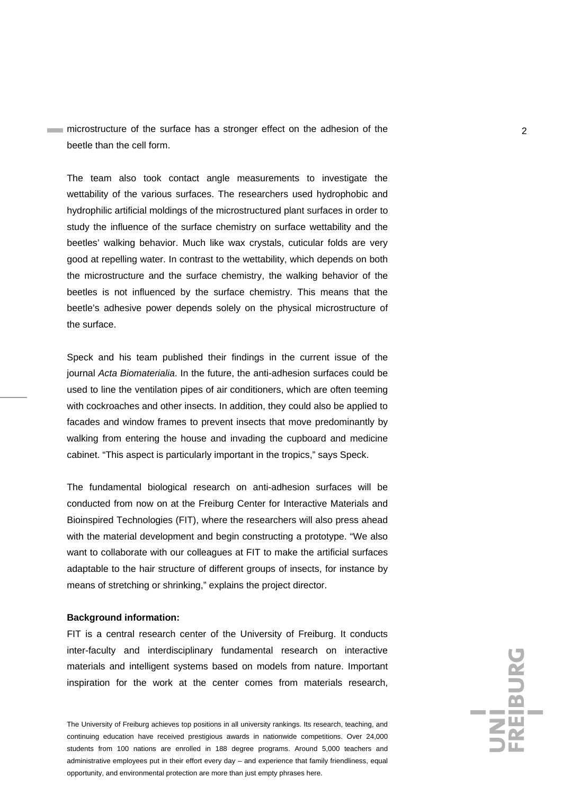microstructure of the surface has a stronger effect on the adhesion of the microstructure of the surface has a stronger effect on the adhesion of the beetle than the cell form.

The team also took contact angle measurements to investigate the wettability of the various surfaces. The researchers used hydrophobic and hydrophilic artificial moldings of the microstructured plant surfaces in order to study the influence of the surface chemistry on surface wettability and the beetles' walking behavior. Much like wax crystals, cuticular folds are very good at repelling water. In contrast to the wettability, which depends on both the microstructure and the surface chemistry, the walking behavior of the beetles is not influenced by the surface chemistry. This means that the beetle's adhesive power depends solely on the physical microstructure of the surface.

Speck and his team published their findings in the current issue of the journal *Acta Biomaterialia*. In the future, the anti-adhesion surfaces could be used to line the ventilation pipes of air conditioners, which are often teeming with cockroaches and other insects. In addition, they could also be applied to facades and window frames to prevent insects that move predominantly by walking from entering the house and invading the cupboard and medicine cabinet. "This aspect is particularly important in the tropics," says Speck.

The fundamental biological research on anti-adhesion surfaces will be conducted from now on at the Freiburg Center for Interactive Materials and Bioinspired Technologies (FIT), where the researchers will also press ahead with the material development and begin constructing a prototype. "We also want to collaborate with our colleagues at FIT to make the artificial surfaces adaptable to the hair structure of different groups of insects, for instance by means of stretching or shrinking," explains the project director.

## **Background information:**

FIT is a central research center of the University of Freiburg. It conducts inter-faculty and interdisciplinary fundamental research on interactive materials and intelligent systems based on models from nature. Important inspiration for the work at the center comes from materials research,

The University of Freiburg achieves top positions in all university rankings. Its research, teaching, and continuing education have received prestigious awards in nationwide competitions. Over 24,000 students from 100 nations are enrolled in 188 degree programs. Around 5,000 teachers and administrative employees put in their effort every day – and experience that family friendliness, equal opportunity, and environmental protection are more than just empty phrases here.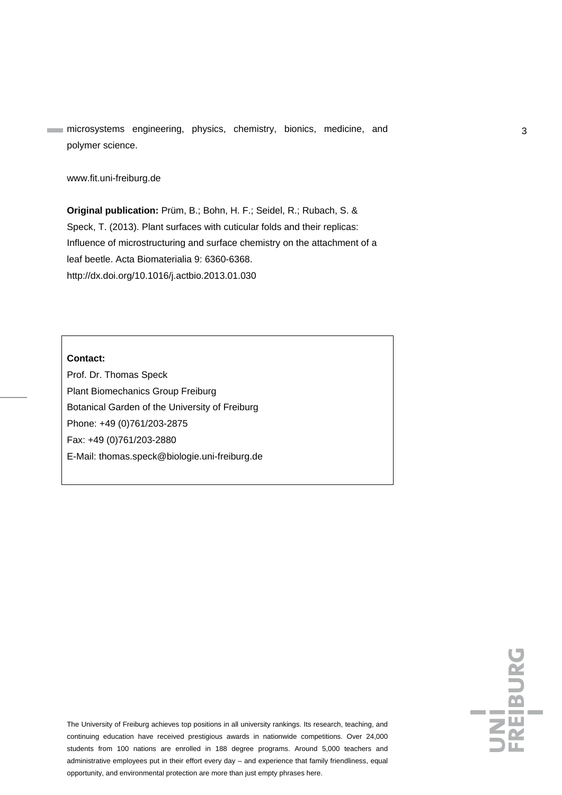microsystems engineering, physics, chemistry, bionics, medicine, and 33 polymer science.

www.fit.uni-freiburg.de

**Original publication:** Prüm, B.; Bohn, H. F.; Seidel, R.; Rubach, S. & Speck, T. (2013). Plant surfaces with cuticular folds and their replicas: Influence of microstructuring and surface chemistry on the attachment of a leaf beetle. Acta Biomaterialia 9: 6360-6368. http://dx.doi.org/10.1016/j.actbio.2013.01.030

## **Contact:**

Prof. Dr. Thomas Speck Plant Biomechanics Group Freiburg Botanical Garden of the University of Freiburg Phone: +49 (0)761/203-2875 Fax: +49 (0)761/203-2880 E-Mail: thomas.speck@biologie.uni-freiburg.de

The University of Freiburg achieves top positions in all university rankings. Its research, teaching, and continuing education have received prestigious awards in nationwide competitions. Over 24,000 students from 100 nations are enrolled in 188 degree programs. Around 5,000 teachers and administrative employees put in their effort every day – and experience that family friendliness, equal opportunity, and environmental protection are more than just empty phrases here.